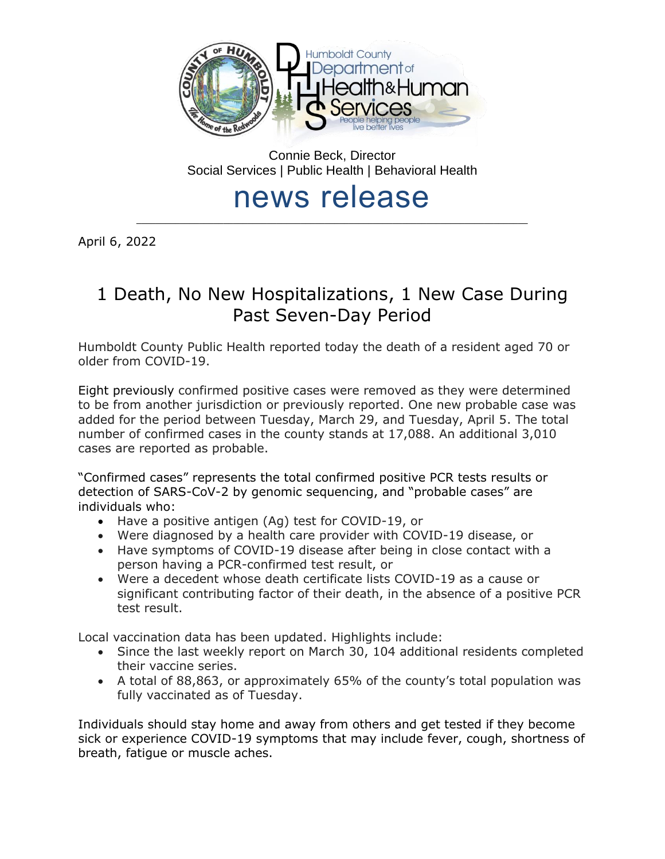

Connie Beck, Director Social Services | Public Health | Behavioral Health

# news release \_\_\_\_\_\_\_\_\_\_\_\_\_\_\_\_\_\_\_\_\_\_\_\_\_\_\_\_\_\_\_\_\_\_\_\_\_\_\_\_\_\_\_\_\_\_\_\_\_\_\_\_\_\_\_\_\_\_\_\_\_\_\_\_\_\_\_\_\_\_\_\_\_\_\_\_\_\_\_\_\_

April 6, 2022

# 1 Death, No New Hospitalizations, 1 New Case During Past Seven-Day Period

Humboldt County Public Health reported today the death of a resident aged 70 or older from COVID-19.

Eight previously confirmed positive cases were removed as they were determined to be from another jurisdiction or previously reported. One new probable case was added for the period between Tuesday, March 29, and Tuesday, April 5. The total number of confirmed cases in the county stands at 17,088. An additional 3,010 cases are reported as probable.

"Confirmed cases" represents the total confirmed positive PCR tests results or detection of SARS-CoV-2 by genomic sequencing, and "probable cases" are individuals who:

- Have a positive antigen (Ag) test for COVID-19, or
- Were diagnosed by a health care provider with COVID-19 disease, or
- Have symptoms of COVID-19 disease after being in close contact with a person having a PCR-confirmed test result, or
- Were a decedent whose death certificate lists COVID-19 as a cause or significant contributing factor of their death, in the absence of a positive PCR test result.

Local vaccination data has been updated. Highlights include:

- Since the last weekly report on March 30, 104 additional residents completed their vaccine series.
- A total of 88,863, or approximately 65% of the county's total population was fully vaccinated as of Tuesday.

Individuals should stay home and away from others and get tested if they become sick or experience COVID-19 symptoms that may include fever, cough, shortness of breath, fatigue or muscle aches.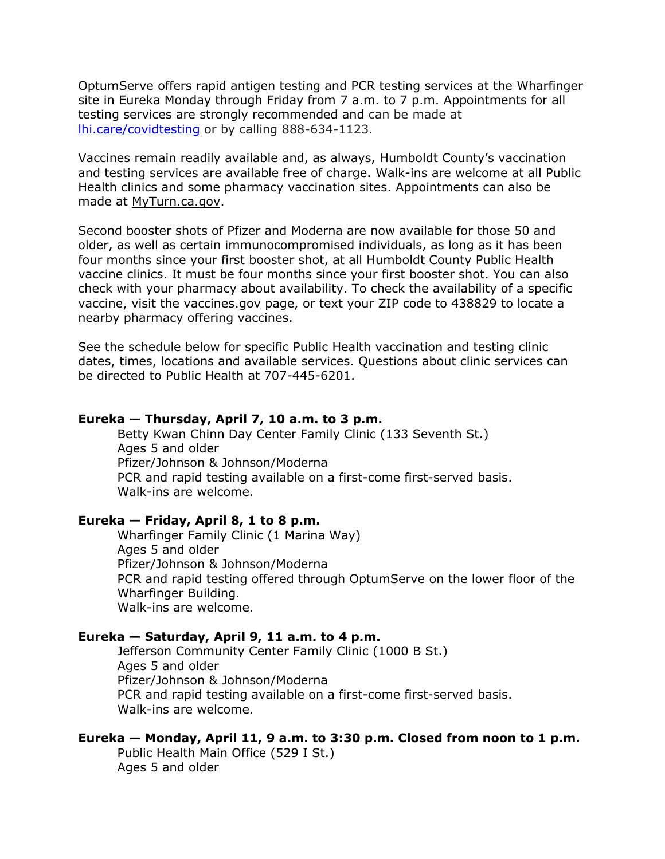OptumServe offers rapid antigen testing and PCR testing services at the Wharfinger site in Eureka Monday through Friday from 7 a.m. to 7 p.m. Appointments for all testing services are strongly recommended and can be made at [lhi.care/covidtesting](https://lhi.care/covidtesting) or by calling 888-634-1123.

Vaccines remain readily available and, as always, Humboldt County's vaccination and testing services are available free of charge. Walk-ins are welcome at all Public Health clinics and some pharmacy vaccination sites. Appointments can also be made at [MyTurn.ca.gov.](https://myturn.ca.gov/)

Second booster shots of Pfizer and Moderna are now available for those 50 and older, as well as certain immunocompromised individuals, as long as it has been four months since your first booster shot, at all Humboldt County Public Health vaccine clinics. It must be four months since your first booster shot. You can also check with your pharmacy about availability. To check the availability of a specific vaccine, visit the [vaccines.gov](https://www.vaccines.gov/search/) page, or text your ZIP code to 438829 to locate a nearby pharmacy offering vaccines.

See the schedule below for specific Public Health vaccination and testing clinic dates, times, locations and available services. Questions about clinic services can be directed to Public Health at 707-445-6201.

### **Eureka — Thursday, April 7, 10 a.m. to 3 p.m.**

Betty Kwan Chinn Day Center Family Clinic (133 Seventh St.) Ages 5 and older Pfizer/Johnson & Johnson/Moderna PCR and rapid testing available on a first-come first-served basis. Walk-ins are welcome.

### **Eureka — Friday, April 8, 1 to 8 p.m.**

Wharfinger Family Clinic (1 Marina Way) Ages 5 and older Pfizer/Johnson & Johnson/Moderna PCR and rapid testing offered through OptumServe on the lower floor of the Wharfinger Building. Walk-ins are welcome.

### **Eureka — Saturday, April 9, 11 a.m. to 4 p.m.**

Jefferson Community Center Family Clinic (1000 B St.) Ages 5 and older Pfizer/Johnson & Johnson/Moderna PCR and rapid testing available on a first-come first-served basis. Walk-ins are welcome.

#### **Eureka — Monday, April 11, 9 a.m. to 3:30 p.m. Closed from noon to 1 p.m.**

Public Health Main Office (529 I St.) Ages 5 and older